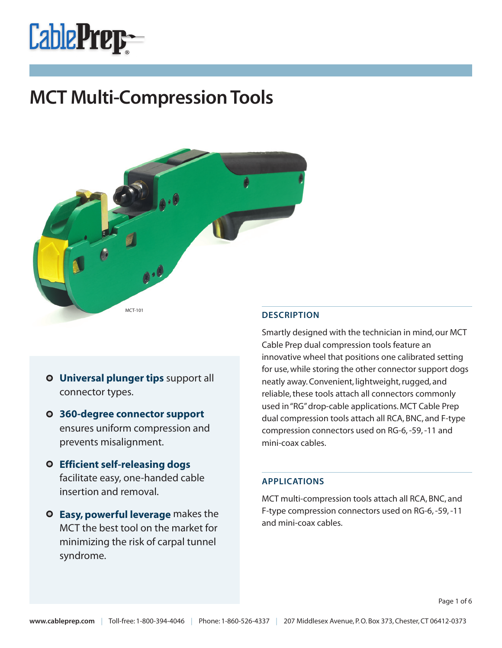# **Cable Prep-**

# **MCT Multi-Compression Tools**



- **Universal plunger tips** support all connector types.
- **360-degree connector support**  ensures uniform compression and prevents misalignment.
- **Efficient self-releasing dogs** facilitate easy, one-handed cable insertion and removal.
- **Easy, powerful leverage** makes the MCT the best tool on the market for minimizing the risk of carpal tunnel syndrome.

#### **DESCRIPTION**

Smartly designed with the technician in mind, our MCT Cable Prep dual compression tools feature an innovative wheel that positions one calibrated setting for use, while storing the other connector support dogs neatly away. Convenient, lightweight, rugged, and reliable, these tools attach all connectors commonly used in "RG" drop-cable applications. MCT Cable Prep dual compression tools attach all RCA, BNC, and F-type compression connectors used on RG-6, -59, -11 and mini-coax cables.

#### **APPLICATIONS**

MCT multi-compression tools attach all RCA, BNC, and F-type compression connectors used on RG-6, -59, -11 and mini-coax cables.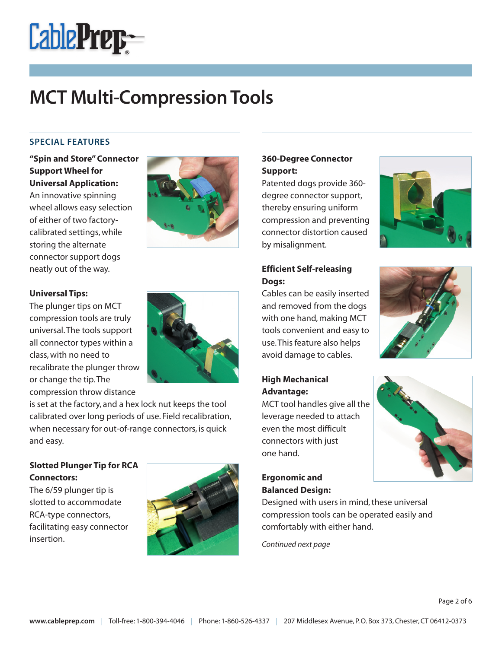

#### **SPECIAL FEATURES**

**"Spin and Store" Connector Support Wheel for Universal Application:** 

An innovative spinning wheel allows easy selection of either of two factorycalibrated settings, while storing the alternate connector support dogs neatly out of the way.



#### **Universal Tips:**

The plunger tips on MCT compression tools are truly universal. The tools support all connector types within a class, with no need to recalibrate the plunger throw or change the tip. The compression throw distance



is set at the factory, and a hex lock nut keeps the tool calibrated over long periods of use. Field recalibration, when necessary for out-of-range connectors, is quick and easy.

### **Slotted Plunger Tip for RCA Connectors:**

The 6/59 plunger tip is slotted to accommodate RCA-type connectors, facilitating easy connector insertion.



#### **360-Degree Connector Support:**

Patented dogs provide 360 degree connector support, thereby ensuring uniform compression and preventing connector distortion caused by misalignment.



#### **Efficient Self-releasing Dogs:**

Cables can be easily inserted and removed from the dogs with one hand, making MCT tools convenient and easy to use. This feature also helps avoid damage to cables.

### **High Mechanical Advantage:**

MCT tool handles give all the leverage needed to attach even the most difficult connectors with just one hand.

### **Ergonomic and Balanced Design:**



Designed with users in mind, these universal compression tools can be operated easily and comfortably with either hand.

Continued next page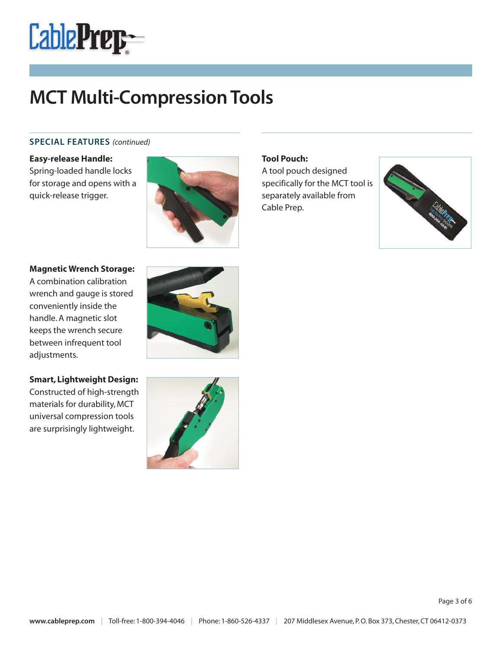

#### **SPECIAL FEATURES** (continued)

#### **Easy-release Handle:**

Spring-loaded handle locks for storage and opens with a quick-release trigger.



#### **Magnetic Wrench Storage:**

A combination calibration wrench and gauge is stored conveniently inside the handle. A magnetic slot keeps the wrench secure between infrequent tool adjustments.



### **Smart, Lightweight Design:**  Constructed of high-strength materials for durability, MCT universal compression tools

are surprisingly lightweight.



#### **Tool Pouch:**

A tool pouch designed specifically for the MCT tool is separately available from Cable Prep.

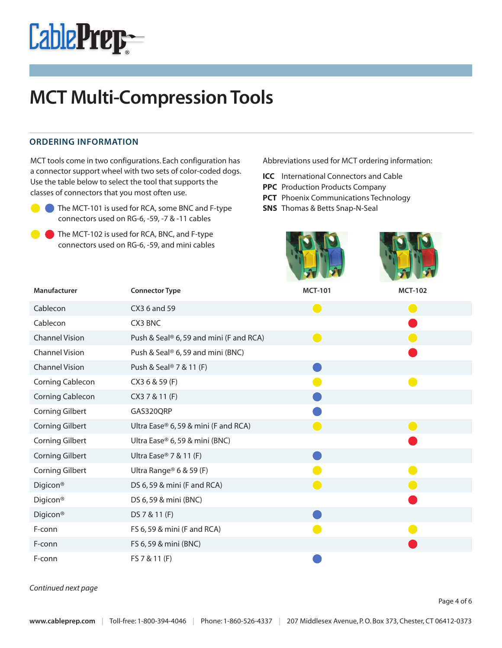

#### **ORDERING INFORMATION**

MCT tools come in two configurations. Each configuration has a connector support wheel with two sets of color-coded dogs. Use the table below to select the tool that supports the classes of connectors that you most often use.

- The MCT-101 is used for RCA, some BNC and F-type connectors used on RG-6, -59, -7 & -11 cables
	- The MCT-102 is used for RCA, BNC, and F-type connectors used on RG-6, -59, and mini cables

Abbreviations used for MCT ordering information:

- **ICC** International Connectors and Cable
- **PPC** Production Products Company
- **PCT** Phoenix Communications Technology
- **SNS** Thomas & Betts Snap-N-Seal

| <b>Manufacturer</b>    | <b>Connector Type</b>                  | <b>MCT-101</b> | <b>MCT-102</b> |
|------------------------|----------------------------------------|----------------|----------------|
| Cablecon               | CX3 6 and 59                           | C.             |                |
| Cablecon               | CX3 BNC                                |                |                |
| <b>Channel Vision</b>  | Push & Seal® 6,59 and mini (F and RCA) | ( II           |                |
| <b>Channel Vision</b>  | Push & Seal® 6, 59 and mini (BNC)      |                |                |
| <b>Channel Vision</b>  | Push & Seal <sup>®</sup> 7 & 11 (F)    |                |                |
| Corning Cablecon       | CX3 6 & 59 (F)                         |                |                |
| Corning Cablecon       | CX3 7 & 11 (F)                         |                |                |
| <b>Corning Gilbert</b> | GAS320QRP                              |                |                |
| <b>Corning Gilbert</b> | Ultra Ease® 6, 59 & mini (F and RCA)   |                |                |
| <b>Corning Gilbert</b> | Ultra Ease® 6, 59 & mini (BNC)         |                |                |
| <b>Corning Gilbert</b> | Ultra Ease <sup>®</sup> 7 & 11 (F)     |                |                |
| Corning Gilbert        | Ultra Range® 6 & 59 (F)                |                |                |
| Digicon <sup>®</sup>   | DS 6, 59 & mini (F and RCA)            |                |                |
| Digicon <sup>®</sup>   | DS 6, 59 & mini (BNC)                  |                |                |
| Digicon <sup>®</sup>   | DS 7 & 11 (F)                          |                |                |
| F-conn                 | FS 6, 59 & mini (F and RCA)            |                |                |
| F-conn                 | FS 6, 59 & mini (BNC)                  |                |                |
| F-conn                 | FS 7 & 11 (F)                          |                |                |

Continued next page

Page 4 of 6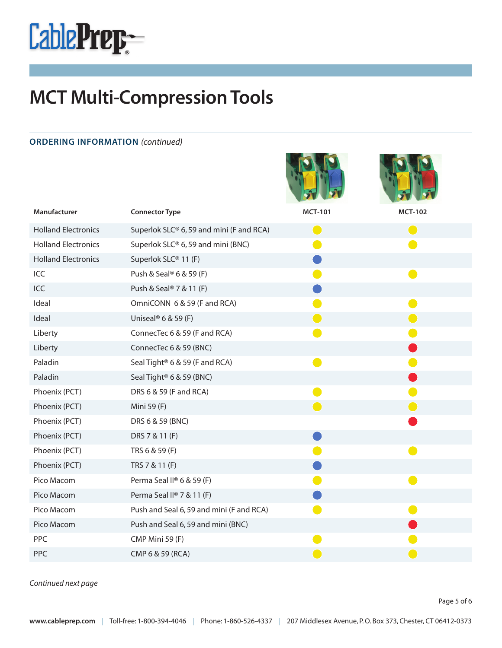

#### **ORDERING INFORMATION (continued)**

| Manufacturer               | <b>Connector Type</b>                      | <b>MCT-101</b> | <b>MCT-102</b> |
|----------------------------|--------------------------------------------|----------------|----------------|
| <b>Holland Electronics</b> | Superlok SLC® 6, 59 and mini (F and RCA)   | $\bigcirc$     | $\bigcirc$     |
| <b>Holland Electronics</b> | Superlok SLC® 6, 59 and mini (BNC)         |                |                |
| <b>Holland Electronics</b> | Superlok SLC® 11 (F)                       |                |                |
| ICC                        | Push & Seal <sup>®</sup> 6 & 59 (F)        |                |                |
| ICC                        | Push & Seal <sup>®</sup> 7 & 11 (F)        |                |                |
| Ideal                      | OmniCONN 6 & 59 (F and RCA)                |                |                |
| Ideal                      | Uniseal <sup>®</sup> 6 & 59 (F)            |                |                |
| Liberty                    | ConnecTec 6 & 59 (F and RCA)               |                |                |
| Liberty                    | ConnecTec 6 & 59 (BNC)                     |                |                |
| Paladin                    | Seal Tight <sup>®</sup> 6 & 59 (F and RCA) |                |                |
| Paladin                    | Seal Tight <sup>®</sup> 6 & 59 (BNC)       |                |                |
| Phoenix (PCT)              | DRS 6 & 59 (F and RCA)                     |                |                |
| Phoenix (PCT)              | Mini 59 (F)                                |                |                |
| Phoenix (PCT)              | DRS 6 & 59 (BNC)                           |                |                |
| Phoenix (PCT)              | DRS 7 & 11 (F)                             |                |                |
| Phoenix (PCT)              | TRS 6 & 59 (F)                             |                |                |
| Phoenix (PCT)              | TRS 7 & 11 (F)                             |                |                |
| Pico Macom                 | Perma Seal II® 6 & 59 (F)                  |                |                |
| Pico Macom                 | Perma Seal II® 7 & 11 (F)                  |                |                |
| Pico Macom                 | Push and Seal 6, 59 and mini (F and RCA)   |                |                |
| Pico Macom                 | Push and Seal 6, 59 and mini (BNC)         |                |                |
| PPC                        | CMP Mini 59 (F)                            |                |                |
| PPC                        | CMP 6 & 59 (RCA)                           |                |                |

 $\mathbb{P} \left[ \mathbf{0} \right]$ 

**AD** 

P

Continued next page

Page 5 of 6